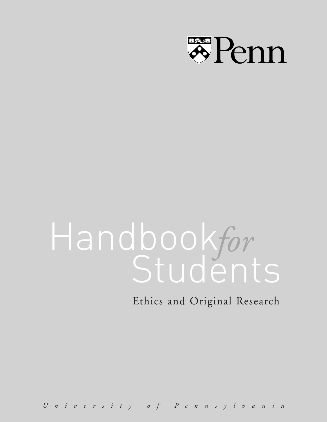

# Handbookfor<br>Students

Ethics and Original Research

*U niv ersity of P ennsylv ania*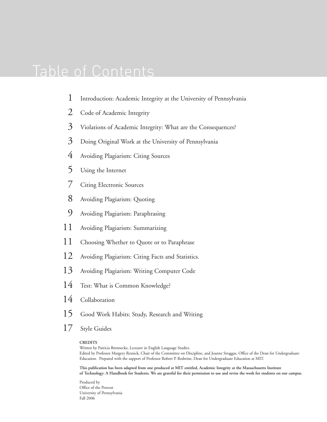# Table of Contents

- [Introduction: Academic Integrity at the University of Pennsylvania](#page-4-0) 1
- [Code of Academic Integrity](#page-3-0) 2
- [Violations of Academic Integrity: What are the Consequences?](#page-4-0) 3
- [Doing Original Work at the University of Pennsylvania](#page-4-0)  3
- [Avoiding Plagiarism: Citing Sources](#page-5-0) 4
- [Using the Internet](#page-6-0)  5
- [Citing Electronic Sources](#page-8-0)  7
- [Avoiding Plagiarism: Quoting](#page-9-0)  8
- [Avoiding Plagiarism: Paraphrasing](#page-10-0)  9
- [Avoiding Plagiarism: Summarizing](#page-12-0) 11
- [Choosing Whether to Quote or to Paraphrase](#page-12-0) 11
- [Avoiding Plagiarism: Citing Facts and Statistics.](#page-13-0) 12
- [Avoiding Plagiarism: Writing Computer Code](#page-14-0)  13
- [Test: What is Common Knowledge?](#page-15-0) 14
- [Collaboration](#page-15-0) 14
- [Good Work Habits: Study, Research and Writing](#page-16-0) 15
- [Style Guides](#page-18-0) 17

#### **CREDITS**

Written by Patricia Brennecke, Lecturer in English Language Studies. Edited by Professor Margery Resnick, Chair of the Committee on Discipline, and Joanne Straggas, Office of the Dean for Undergraduate Education. Prepared with the support of Professor Robert P. Redwine, Dean for Undergraduate Education at MIT.

**This publication has been adapted from one produced at MIT entitled, Academic Integrity at the Massachusetts Institute of Technology: A Handbook for Students. We are grateful for their permission to use and revise the work for students on our campus.**

Produced by Office of the Provost University of Pennsylvania Fall 2006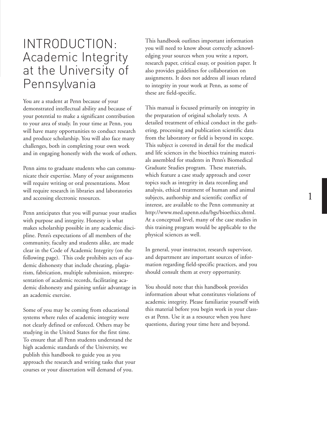# INTRODUCTION: Academic Integrity at the University of Pennsylvania

You are a student at Penn because of your demonstrated intellectual ability and because of your potential to make a significant contribution to your area of study. In your time at Penn, you will hav e many opportunities to conduct research and produce scholarship. You will also face many challenges, both in completing your own work and in engaging honestly with the work of others.

Penn aims to graduate students who can communicate their expertise. Many of your assignments will require writing or oral presentations. Most will require research in libraries and laboratories and accessing electronic resources. Penn anticipates that you will pursue your studies

with purpose and integrity. Honesty is what makes scholarship possible in any academic discipline. Penn's expectations of all members of the community, faculty and students alike, ar e made clear in the Code of Academic Integrity (on the following page). This code prohibits acts of academic dishonesty that include cheating, plagiarism, fabrication, multiple submission, misrepresentation of academic records, facilitating academic dishonesty and gaining unfair advantage in

an academic exercise. Some of you may be coming from educational systems where rules of academic integrity were not clearly defined or enforced. Others may be studying in the United States for the first time. To ensure that all Penn students understand the high academic standards of the University, we publish this handbook to guide you as you approach the research and writing tasks that your courses or your dissertation will demand of you.

This handbook outlines important information you will need to know about correctly acknowledging your sources when you write a report, research paper, critical essay, or position paper. It also provides guidelines for collaboration on assignments. It does not address all issues related to integrity in your work at Penn, as some of these are field-specific.

This manual is focused primarily on integrity in the preparation of original scholarly texts. A detailed treatment of ethical conduct in the gathering, processing and publication scientific data from the laboratory or field is beyond its scope. This subject is covered in detail for the medical and life sciences in the bioethics training materials assembled for students in Penn's Biomedical Graduate Studies program. These materials, which feature a case study approach and cover topics such as integrity in data recording and analysis, ethical treatment of human and animal subjects, authorship and scientific conflict of interest, are available to the Penn community at [http://www.med.upenn.edu/bgs/bioethics.shtml.](http://www.med.upenn.edu/bgs/bioethics.shtml) At a conceptual level, many of the case studies in this training program would be applicable to the physical sciences as well. In general, your instructor, research supervisor,

and department are important sources of information regarding field-specific practices, and you should consult them at every opportunity.

You should note that this handbook provides information about what constitutes violations of academic integrity. Please familiariz e yourself with this material befor e you begin wor k in your classes at Penn. Use it as a resource when you have questions, during your time here and beyond.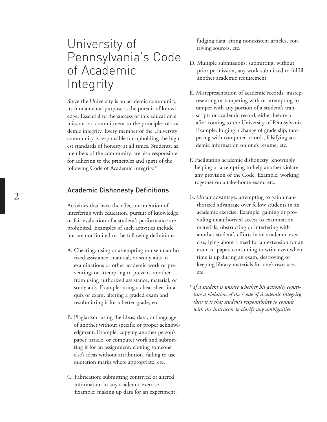# <span id="page-3-0"></span>University of Pennsylvania's Code of Academic Integrity

Since the University is an academic community, its fundamental purpose is the pursuit of knowledge. Essential to the success of this educational mission is a commitment to the principles of academic integrity. Every member of the University community is responsible for upholding the highest standards of honesty at all times. Students, as members of the community, are also responsible for adhering to the principles and spirit of the following Code of Academic Integrity.\*

## Academic Dishonesty Definitions

Activities that have the effect or intention of interfering with education, pursuit of knowledge, or fair evaluation of a student's performance are prohibited. Examples of such activities include but are not limited to the following definitions:

- A. Cheating: using or attempting to use unauthorized assistance, material, or study aids in examinations or other academic work or preventing, or attempting to prevent, another from using authorized assistance, material, or study aids. Example: using a cheat sheet in a quiz or exam, altering a graded exam and resubmitting it for a better grade, etc.
- B. Plagiarism: using the ideas, data, or language of another without specific or proper acknowledgment. Example: copying another person's paper, article, or computer work and submitting it for an assignment, cloning someone else's ideas without attribution, failing to use quotation marks where appropriate, etc.
- C. Fabrication: submitting contrived or altered information in any academic exercise. Example: making up data for an experiment,

fudging data, citing nonexistent articles, contriving sources, etc.

- D. Multiple submissions: submitting, without prior permission, any work submitted to fulfill another academic requirement.
- E. Misrepresentation of academic records: misrepresenting or tampering with or attempting to tamper with any portion of a student's transcripts or academic record, either before or after coming to the University of Pennsylvania. Example: forging a change of grade slip, tampering with computer records, falsifying academic information on one's resume, etc.
- F. Facilitating academic dishonesty: knowingly helping or attempting to help another violate any provision of the Code. Example: working together on a take-home exam, etc.
- G. Unfair advantage: attempting to gain unauthorized advantage over fellow students in an academic exercise. Example: gaining or providing unauthorized access to examination materials, obstructing or interfering with another student's efforts in an academic exercise, lying about a need for an extension for an exam or paper, continuing to write even when time is up during an exam, destroying or keeping library materials for one's own use., etc.
- \* *If a student is unsure whether his action(s) constitute a violation of the Code of Academic Integrity, then it is that student's responsibility to consult with the instructor to clarify any ambiguities.*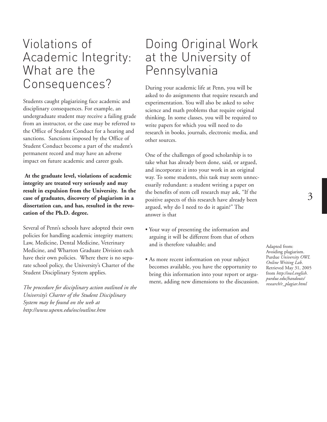# <span id="page-4-0"></span>Violations of Academic Integrity: What are the Consequences?

Students caught plagiarizing face academic and disciplinary consequences. For example, an undergraduate student may receive a failing grade from an instructor, or the case may be referred to the Office of Student Conduct for a hearing and sanctions. Sanctions imposed by the Office of Student Conduct become a part of the student's permanent record and may have an adverse impact on future academic and career goals.

**At the graduate level, violations of academic integrity are treated very seriously and may result in expulsion from the University. In the case of graduates, discovery of plagiarism in a dissertation can, and has, resulted in the revocation of the Ph.D. degree.**

Several of Penn's schools have adopted their own policies for handling academic integrity matters; Law, Medicine, Dental Medicine, Veterinary Medicine, and Wharton Graduate Division each have their own policies. Where there is no separate school policy, the University's Charter of the Student Disciplinary System applies.

*The procedure for disciplinary action outlined in the University's Charter of the Student Disciplinary System may be found on the web at [http://www.upenn.edu/osc/outline.htm](http://www.upenn.edu/osc/outline.htm )*

# Doing Original Work at the University of Pennsylvania

During your academic life at Penn, you will be asked to do assignments that require research and experimentation. You will also be asked to solve science and math problems that require original thinking. In some classes, you will be required to write papers for which you will need to do research in books, journals, electronic media, and other sources.

One of the challenges of good scholarship is to take what has already been done, said, or argued, and incorporate it into your work in an original way. To some students, this task may seem unnecessarily redundant: a student writing a paper on the benefits of stem cell research may ask, "If the positive aspects of this research have already been argued, why do I need to do it again?" The answer is that

- Your way of presenting the information and arguing it will be different from that of others and is therefore valuable; and
- As more recent information on your subject becomes available, you have the opportunity to bring this information into your report or argument, adding new dimensions to the discussion.

Adapted from: Avoiding plagiarism. Purdue *University OWL Online Writing Lab*. Retrieved May 31, 2005 from *http://owl.english. purdue.edu{handouts/ [research/r\\_plagiar.html](http://owl.english. purdue.edu{handouts/ research/r_plagiar.html )*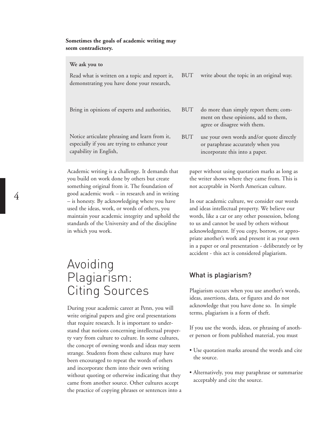#### <span id="page-5-0"></span>**Sometimes the goals of academic writing may seem contradictory.**

**We ask you to**

| Read what is written on a topic and report it,<br>demonstrating you have done your research,                            | BUT        | write about the topic in an original way.                                                                       |
|-------------------------------------------------------------------------------------------------------------------------|------------|-----------------------------------------------------------------------------------------------------------------|
| Bring in opinions of experts and authorities,                                                                           | BUT        | do more than simply report them; com-<br>ment on these opinions, add to them,<br>agree or disagree with them.   |
| Notice articulate phrasing and learn from it,<br>especially if you are trying to enhance your<br>capability in English, | <b>BUT</b> | use your own words and/or quote directly<br>or paraphrase accurately when you<br>incorporate this into a paper. |

Academic writing is a challenge. It demands that you build on work done by others but create something original from it. The foundation of good academic work – in research and in writing – is honesty. By acknowledging where you have used the ideas, work, or words of others, you maintain your academic integrity and uphold the standards of the University and of the discipline in which you work.

# Avoiding Plagiarism: Citing Sources

During your academic career at Penn, you will write original papers and give oral presentations that require research. It is important to understand that notions concerning intellectual property vary from culture to culture. In some cultures, the concept of owning words and ideas may seem strange. Students from these cultures may have been encouraged to repeat the words of others and incorporate them into their own writing without quoting or otherwise indicating that they came from another source. Other cultures accept the practice of copying phrases or sentences into a paper without using quotation marks as long as the writer shows where they came from. This is not acceptable in North American culture.

In our academic culture, we consider our words and ideas intellectual property. We believe our words, like a car or any other possession, belong to us and cannot be used by others without acknowledgment. If you copy, borrow, or appropriate another's work and present it as your own in a paper or oral presentation - deliberately or by accident - this act is considered plagiarism.

# What is plagiarism?

Plagiarism occurs when you use another's words, ideas, assertions, data, or figures and do not acknowledge that you have done so. In simple terms, plagiarism is a form of theft.

If you use the words, ideas, or phrasing of another person or from published material, you must

- Use quotation marks around the words and cite the source.
- Alternatively, you may paraphrase or summarize acceptably and cite the source.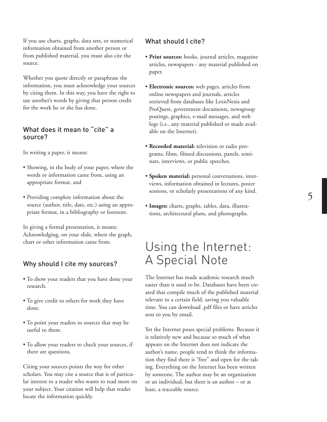<span id="page-6-0"></span>If you use charts, graphs, data sets, or numerical information obtained from another person or from published material, you must also cite the source.

Whether you quote directly or paraphrase the information, you must acknowledge your sources by citing them. In this way, you have the right to use another's words by giving that person credit for the work he or she has done.

# What does it mean to "cite" a source?

In writing a paper, it means:

- Showing, in the body of your paper, where the words or information came from, using an appropriate format, and
- Providing complete information about the source (author, title, date, etc.) using an appropriate format, in a bibliography or footnote.

In giving a formal presentation, it means: Acknowledging, on your slide, where the graph, chart or other information came from.

# Why should I cite my sources?

- To show your readers that you have done your research.
- To give credit to others for work they have done.
- To point your readers to sources that may be useful to them.
- To allow your readers to check your sources, if there are questions.

Citing your sources points the way for other scholars. You may cite a source that is of particular interest to a reader who wants to read more on your subject. Your citation will help that reader locate the information quickly.

## What should I cite?

- **Print sources:** books, journal articles, magazine articles, newspapers - any material published on paper.
- **Electronic sources:** web pages, articles from online newspapers and journals, articles retrieved from databases like LexisNexis and ProQuest, government documents, newsgroup postings, graphics, e-mail messages, and web logs (i.e., any material published or made available on the Internet).
- **Recorded material:** television or radio programs, films, filmed discussions, panels, seminars, interviews, or public speeches.
- **Spoken material:** personal conversations, interviews, information obtained in lectures, poster sessions, or scholarly presentations of any kind.
- **Images:** charts, graphs, tables, data, illustrations, architectural plans, and photographs.

# Using the Internet: A Special Note

The Internet has made academic research much easier than it used to be. Databases have been created that compile much of the published material relevant to a certain field, saving you valuable time. You can download .pdf files or have articles sent to you by email.

Yet the Internet poses special problems. Because it is relatively new and because so much of what appears on the Internet does not indicate the author's name, people tend to think the information they find there is "free" and open for the taking. Everything on the Internet has been written by someone. The author may be an organization or an individual, but there is an author – or at least, a traceable source.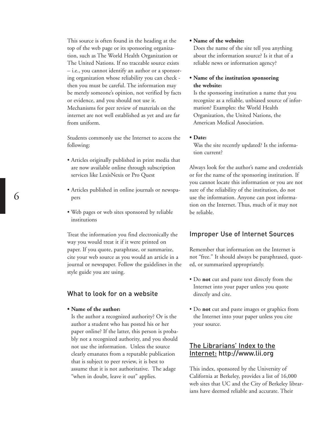This source is often found in the heading at the top of the web page or its sponsoring organization, such as The World Health Organization or The United Nations. If no traceable source exists – i.e., you cannot identify an author or a sponsoring organization whose reliability you can check then you must be careful. The information may be merely someone's opinion, not verified by facts or evidence, and you should not use it. Mechanisms for peer review of materials on the internet are not well established as yet and are far from uniform.

Students commonly use the Internet to access the following:

- Articles originally published in print media that are now available online through subscription services like LexisNexis or Pro Quest
- Articles published in online journals or newspapers
- Web pages or web sites sponsored by reliable institutions

Treat the information you find electronically the way you would treat it if it were printed on paper. If you quote, paraphrase, or summarize, cite your web source as you would an article in a journal or newspaper. Follow the guidelines in the style guide you are using.

## What to look for on a website

#### **• Name of the author:**

Is the author a recognized authority? Or is the author a student who has posted his or her paper online? If the latter, this person is probably not a recognized authority, and you should not use the information. Unless the source clearly emanates from a reputable publication that is subject to peer review, it is best to assume that it is not authoritative. The adage "when in doubt, leave it out" applies.

#### **• Name of the website:**

Does the name of the site tell you anything about the information source? Is it that of a reliable news or information agency?

#### **• Name of the institution sponsoring the website:**

Is the sponsoring institution a name that you recognize as a reliable, unbiased source of information? Examples: the World Health Organization, the United Nations, the American Medical Association.

#### **• Date:**

Was the site recently updated? Is the information current?

Always look for the author's name and credentials or for the name of the sponsoring institution. If you cannot locate this information or you are not sure of the reliability of the institution, do not use the information. Anyone can post information on the Internet. Thus, much of it may not be reliable.

## Improper Use of Internet Sources

Remember that information on the Internet is not "free." It should always be paraphrased, quoted, or summarized appropriately.

- Do **not** cut and paste text directly from the Internet into your paper unless you quote directly and cite.
- Do **not** cut and paste images or graphics from the Internet into your paper unless you cite your source.

## The Librarians' Index to the Internet: [http://www.lii.org](http://www.lii.org )

This index, sponsored by the University of California at Berkeley, provides a list of 16,000 web sites that UC and the City of Berkeley librarians have deemed reliable and accurate. Their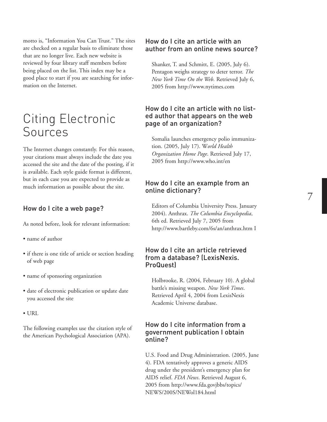<span id="page-8-0"></span>motto is, "Information You Can Trust." The sites are checked on a regular basis to eliminate those that are no longer live. Each new website is reviewed by four library staff members before being placed on the list. This index may be a good place to start if you are searching for information on the Internet.

# Citing Electronic Sources

The Internet changes constantly. For this reason, your citations must always include the date you accessed the site and the date of the posting, if it is available. Each style guide format is different, but in each case you are expected to provide as much information as possible about the site.

# How do I cite a web page?

As noted before, look for relevant information:

- name of author
- if there is one title of article or section heading of web page
- name of sponsoring organization
- date of electronic publication or update date you accessed the site
- URL

The following examples use the citation style of the American Psychological Association (APA).

## How do I cite an article with an author from an online news source?

Shanker, T. and Schmitt, E. (2005, July 6). Pentagon weighs strategy to deter terror. *The New York Time On the Web*. Retrieved July 6, 2005 from http://www.nytimes.com

## How do I cite an article with no listed author that appears on the web page of an organization?

Somalia launches emergency polio immunization. (2005, July 17). W*orld Health Organization Home Page*. Retrieved July 17, 2005 from http://www.who.int/en

# How do I cite an example from an online dictionary?

Editors of Columbia University Press. January 2004). Anthrax. *The Columbia Encyclopedia*, 6th ed. Retrieved July 7, 2005 from http://www.bartleby.com/6s/an/anthrax.htm I

## How do I cite an article retrieved from a database? (LexisNexis. ProQuest)

Holbrooke, R. (2004, February 10). A global battle's missing weapon. *New York Times*. Retrieved April 4, 2004 from LexisNexis Academic Universe database.

# How do I cite information from a government publication I obtain online?

U.S. Food and Drug Administration. (2005, June 4). FDA tentatively approves a generic AIDS drug under the president's emergency plan for AIDS relief. *FDA News*. Retrieved August 6, 2005 from http://www.fda.govjbbs/topics/ NEWS/200S/NEWol184.html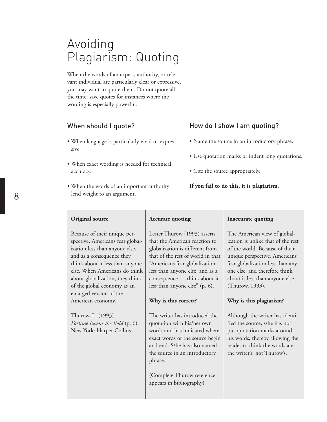# <span id="page-9-0"></span>Avoiding Plagiarism: Quoting

When the words of an expert, authority, or relevant individual are particularly clear or expressive, you may want to quote them. Do not quote all the time: save quotes for instances where the wording is especially powerful.

# When should I quote?

- When language is particularly vivid or expressive.
- When exact wording is needed for technical accuracy.
- When the words of an important authority lend weight to an argument.

# How do I show I am quoting?

- Name the source in an introductory phrase.
- Use quotation marks or indent long quotations.
- Cite the source appropriately.
- **If you fail to do this, it is plagiarism.**

#### **Original source**

Because of their unique perspective, Americans fear globalization less than anyone else, and as a consequence they think about it less than anyone else. When Americans do think about globalization, they think of the global economy as an enlarged version of the American economy.

Thurow, L. (1993). *Fortune Favors the Bold* (p. 6). New York: Harper Collins.

#### **Accurate quoting**

Lester Thurow (1993) asserts that the American reaction to globalization is different from that of the rest of world in that "Americans fear globalization less than anyone else, and as a consequence. . . think about it less than anyone else" (p. 6).

#### **Why is this correct?**

The writer has introduced the quotation with his/her own words and has indicated where exact words of the source begin and end. S/he has also named the source in an introductory phrase.

(Complete Thurow reference appears in bibliography)

#### **Inaccurate quoting**

The American view of globalization is unlike that of the rest of the world. Because of their unique perspective, Americans fear globalization less than anyone else, and therefore think about it less than anyone else (Thurow, 1993).

#### **Why is this plagiarism?**

Although the writer has identified the source, s/he has not put quotation marks around his words, thereby allowing the reader to think the words are the writer's, not Thurow's.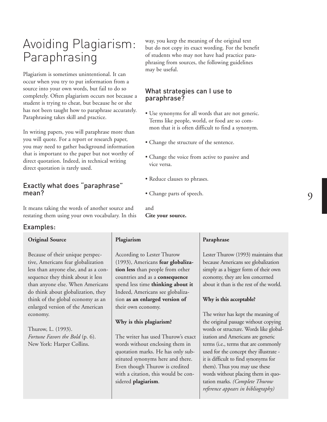# <span id="page-10-0"></span>Avoiding Plagiarism: Paraphrasing

Plagiarism is sometimes unintentional. It can occur when you try to put information from a source into your own words, but fail to do so completely. Often plagiarism occurs not because a student is trying to cheat, but because he or she has not been taught how to paraphrase accurately. Paraphrasing takes skill and practice.

In writing papers, you will paraphrase more than you will quote. For a report or research paper, you may need to gather background information that is important to the paper but not worthy of direct quotation. Indeed, in technical writing direct quotation is rarely used.

# Exactly what does "paraphrase" mean?

It means taking the words of another source and restating them using your own vocabulary. In this

## Examples:

#### **Original Source**

Because of their unique perspective, Americans fear globalization less than anyone else, and as a consequence they think about it less than anyone else. When Americans do think about globalization, they think of the global economy as an enlarged version of the American economy.

Thurow, L. (1993). *Fortune Favors the Bold* (p. 6). New York: Harper Collins.

way, you keep the meaning of the original text but do not copy its exact wording. For the benefit of students who may not have had practice paraphrasing from sources, the following guidelines may be useful.

# What strategies can I use to paraphrase?

- Use synonyms for all words that are not generic. Terms like people, world, or food are so common that it is often difficult to find a synonym.
- Change the structure of the sentence.
- Change the voice from active to passive and vice versa.
- Reduce clauses to phrases.
- Change parts of speech.

**Cite your source.**

and

#### **Plagiarism**

According to Lester Thurow (1993), Americans **fear globalization less** than people from other countries and as a **consequence** spend less time **thinking about it** Indeed, Americans see globalization **as an enlarged version of** their own economy.

## **Why is this plagiarism?**

The writer has used Thurow's exact words without enclosing them in quotation marks. He has only substituted synonyms here and there. Even though Thurow is credited with a citation, this would be considered **plagiarism**.

#### **Paraphrase**

Lester Thurow (1993) maintains that because Americans see globalization simply as a bigger form of their own economy, they are less concerned about it than is the rest of the world.

#### **Why is this acceptable?**

The writer has kept the meaning of the original passage without copying words or structure. Words like globalization and Americans are generic terms (i.e., terms that are commonly used for the concept they illustrate it is difficult to find synonyms for them). Thus you may use these words without placing them in quotation marks. *(Complete Thurow reference appears in bibliography)*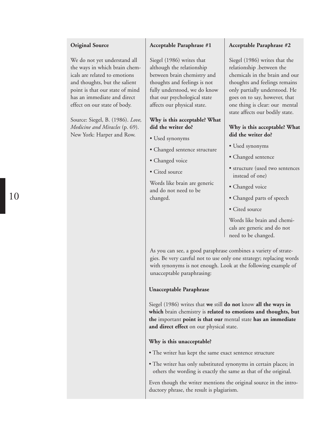#### **Original Source**

We do not yet understand all the ways in which brain chemicals are related to emotions and thoughts, but the salient point is that our state of mind has an immediate and direct effect on our state of body.

Source: Siegel, B. (1986). *Love, Medicine and Miracles* (p. 69). New York: Harper and Row.

## **Acceptable Paraphrase #1**

Siegel (1986) writes that although the relationship between brain chemistry and thoughts and feelings is not fully understood, we do know that our psychological state affects our physical state.

## **Why is this acceptable? What did the writer do?**

- Used synonyms
- Changed sentence structure
- Changed voice
- Cited source

Words like brain are generic and do not need to be changed.

### **Acceptable Paraphrase #2**

Siegel (1986) writes that the relationship .between the chemicals in the brain and our thoughts and feelings remains only partially understood. He goes on to say, however, that one thing is clear: our mental state affects our bodily state.

## **Why is this acceptable? What did the writer do?**

- Used synonyms
- Changed sentence
- structure (used two sentences instead of one)
- Changed voice
- Changed parts of speech
- Cited source

Words like brain and chemicals are generic and do not need to be changed.

As you can see, a good paraphrase combines a variety of strategies. Be very careful not to use only one strategy; replacing words with synonyms is not enough. Look at the following example of unacceptable paraphrasing:

## **Unacceptable Paraphrase**

Siegel (1986) writes that **we** still **do not** know **all the ways in which** brain chemistry is **related to emotions and thoughts, but the** important **point is that our** mental state **has an immediate and direct effect** on our physical state.

## **Why is this unacceptable?**

- The writer has kept the same exact sentence structure
- The writer has only substituted synonyms in certain places; in others the wording is exactly the same as that of the original.

Even though the writer mentions the original source in the introductory phrase, the result is plagiarism.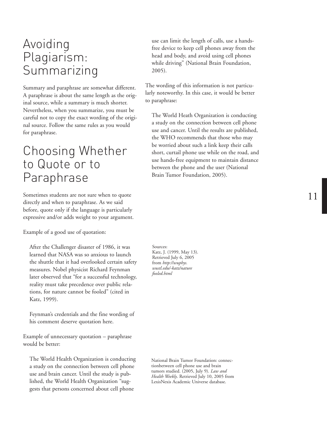# <span id="page-12-0"></span>Avoiding Plagiarism: Summarizing

Summary and paraphrase are somewhat different. A paraphrase is about the same length as the original source, while a summary is much shorter. Nevertheless, when you summarize, you must be careful not to copy the exact wording of the original source. Follow the same rules as you would for paraphrase.

# Choosing Whether to Quote or to Paraphrase

Sometimes students are not sure when to quote directly and when to paraphrase. As we said before, quote only if the language is particularly expressive and/or adds weight to your argument.

Example of a good use of quotation:

After the Challenger disaster of 1986, it was learned that NASA was so anxious to launch the shuttle that it had overlooked certain safety measures. Nobel physicist Richard Feynman later observed that "for a successful technology, reality must take precedence over public relations, for nature cannot be fooled" (cited in Katz, 1999).

Feynman's credentials and the fine wording of his comment deserve quotation here.

Example of unnecessary quotation – paraphrase would be better:

The World Health Organization is conducting a study on the connection between cell phone use and brain cancer. Until the study is published, the World Health Organization "suggests that persons concerned about cell phone

use can limit the length of calls, use a handsfree device to keep cell phones away from the head and body, and avoid using cell phones while driving" (National Brain Foundation, 2005).

The wording of this information is not particularly noteworthy. In this case, it would be better to paraphrase:

The World Heath Organization is conducting a study on the connection between cell phone use and cancer. Until the results are published, the WHO recommends that those who may be worried about such a link keep their calls short, curtail phone use while on the road, and use hands-free equipment to maintain distance between the phone and the user (National Brain Tumor Foundation, 2005).

Sources: Katz, J. (1999, May 13). Retrieved July 6, 2005 from *http://wuphys. [wustl.edu/-katz/nature](http://wuphys. wustl.edu/-katz/nature fooled.html ) fooled.html*

National Brain Tumor Foundation: connectionbetween cell phone use and brain tumors studied. (2005, July 9). *Law and Health Weekly*. Retrieved July 10, 2005 from LexisNexis Academic Universe database.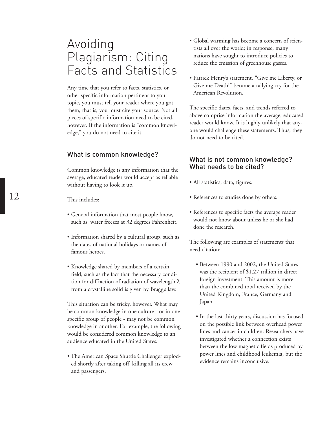# <span id="page-13-0"></span>Avoiding Plagiarism: Citing Facts and Statistics

Any time that you refer to facts, statistics, or other specific information pertinent to your topic, you must tell your reader where you got them; that is, you must cite your source. Not all pieces of specific information need to be cited, however. If the information is "common knowledge," you do not need to cite it.

## What is common knowledge?

Common knowledge is any information that the average, educated reader would accept as reliable without having to look it up.

This includes:

- General information that most people know, such as: water freezes at 32 degrees Fahrenheit.
- Information shared by a cultural group, such as the dates of national holidays or names of famous heroes.
- Knowledge shared by members of a certain field, such as the fact that the necessary condition for diffraction of radiation of wavelength  $\lambda$ from a crystalline solid is given by Bragg's law.

This situation can be tricky, however. What may be common knowledge in one culture - or in one specific group of people - may not be common knowledge in another. For example, the following would be considered common knowledge to an audience educated in the United States:

• The American Space Shuttle Challenger exploded shortly after taking off, killing all its crew and passengers.

- Global warming has become a concern of scientists all over the world; in response, many nations have sought to introduce policies to reduce the emission of greenhouse gasses.
- Patrick Henry's statement, "Give me Liberty, or Give me Death!" became a rallying cry for the American Revolution.

The specific dates, facts, and trends referred to above comprise information the average, educated reader would know. It is highly unlikely that anyone would challenge these statements. Thus, they do not need to be cited.

# What is not common knowledge? What needs to be cited?

- All statistics, data, figures.
- References to studies done by others.
- References to specific facts the average reader would not know about unless he or she had done the research.

The following are examples of statements that need citation:

- Between 1990 and 2002, the United States was the recipient of \$1.27 trillion in direct foreign investment. This amount is more than the combined total received by the United Kingdom, France, Germany and Japan.
- In the last thirty years, discussion has focused on the possible link between overhead power lines and cancer in children. Researchers have investigated whether a connection exists between the low magnetic fields produced by power lines and childhood leukemia, but the evidence remains inconclusive.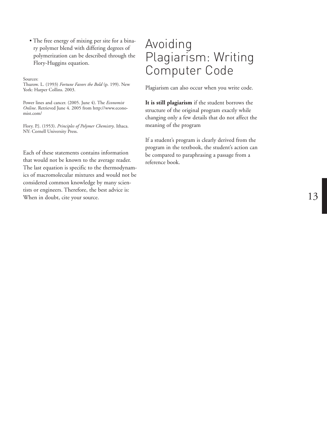<span id="page-14-0"></span>• The free energy of mixing per site for a binary polymer blend with differing degrees of polymerization can be described through the Flory-Huggins equation.

Sources:

Thurow. L. (1993) *Fortune Favors the Bold* (p. 199). New York: Harper Collins. 2003.

Power lines and cancer. (2005. June 4). The *Economist Online* . Retrieved June 4. 2005 from http://www.economist.com/

Flory. P.}. (1953). *Principles of Polymer Chemistry* . Ithaca. NY: Cornell University Press.

Each of these statements contains information that would not be known to the average reader . The last equation is specific to the thermodynam ics of macromolecular mixtures and would not be considered common knowledge by many scientists or engineers. Therefore, the best advice is: When in doubt, cite your source.

# Avoiding Plagiarism: Writing Computer Code

Plagiarism can also occur when you write code.

**It is still plagiarism** if the student borrows the structure of the original program exactly while changing only a few details that do not affect the meaning of the program

If a student's program is clearly derived from the program in the textbook, the student's action can be compared to paraphrasing a passage from a reference book.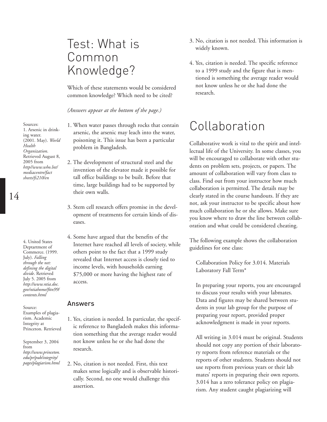# <span id="page-15-0"></span>Test: What is Common Knowledge?

Which of these statements would be considered common knowledge? Which need to be cited?

*(Answers appear at the bottom of the page.)*

- 1. When water passes through rocks that contain arsenic, the arsenic may leach into the water, poisoning it. This issue has been a particular problem in Bangladesh.
- 2. The development of structural steel and the invention of the elevator made it possible for tall office buildings to be built. Before that time, large buildings had to be supported by their own walls.
- 3. Stem cell research offers promise in the development of treatments for certain kinds of diseases.
- 4. Some have argued that the benefits of the Internet have reached all levels of society, while others point to the fact that a 1999 study revealed that Internet access is closely tied to income levels, with households earning \$75,000 or more having the highest rate of access.

#### Answers

- 1. Yes, citation is needed. In particular, the specific reference to Bangladesh makes this information something that the average reader would not know unless he or she had done the research.
- 2. No, citation is not needed. First, this text makes sense logically and is observable historically. Second, no one would challenge this assertion.
- 3. No, citation is not needed. This information is widely known.
- 4. Yes, citation is needed. The specific reference to a 1999 study and the figure that is mentioned is something the average reader would not know unless he or she had done the research.

# Collaboration

Collaborative work is vital to the spirit and intellectual life of the University. In some classes, you will be encouraged to collaborate with other students on problem sets, projects, or papers. The amount of collaboration will vary from class to class. Find out from your instructor how much collaboration is permitted. The details may be clearly stated in the course handouts. If they are not, ask your instructor to be specific about how much collaboration he or she allows. Make sure you know where to draw the line between collaboration and what could be considered cheating.

The following example shows the collaboration guidelines for one class:

Collaboration Policy for 3.014. Materials Laboratory Fall Term\*

In preparing your reports, you are encouraged to discuss your results with your labmates. Data and figures may be shared between students in your lab group for the purpose of preparing your report, provided proper acknowledgment is made in your reports.

All writing in 3.014 must be original. Students should not copy any portion of their laboratory reports from reference materials or the reports of other students. Students should not use reports from previous years or their lab mates' reports in preparing their own reports. 3.014 has a zero tolerance policy on plagiarism. Any student caught plagiarizing will

Sources: 1. Arsenic in drinking water. (2001. May). *World Health Organization*. Retrieved August 8, 2005 from *[http//www.who.lnt/](http//www.who.lnt/ mediacentre/fact sheets/fs210/en ) mediacentre/fact sheets/fs210/en*

14

4. United States Deptartment of Commerce. (1999. July). *Falling through the net: defining the digital divide*. Retrieved July 5. 2005 from *http://www.ntia.doc. [gov/ntiahome/fttn99/](http://www.ntia.doc. gov/ntiahome/fttn99/ contents.html ) contents.html*

Source: Examples of plagiarism. Academic Integrity at Princeton. Retrieved

September 3, 2004 from *[http://www.princeton.](http://www.princeton. edu/pr/pub/integrity/ pages/plagiarism.html ) edu/pr/pub/integrity/ pages/plagiarism.html*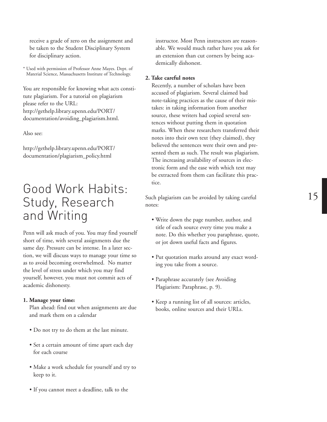<span id="page-16-0"></span>receive a grade of zero on the assignment and be taken to the Student Disciplinary System for disciplinary action.

\* Used with permission of Professor Anne Mayes. Dept. of Material Science, Massachusetts Institute of Technology.

You are responsible for knowing what acts constitute plagiarism. For a tutorial on plagiarism please refer to the URL: http://gethelp.library.upenn.edu/PORT/ [documentation/avoiding\\_plagiarism.html.](http://gethelp.library.upenn.edu/PORT/ documentation/avoiding_plagiarism.html. )

Also see:

[http://gethelp.library.upenn.edu/PORT/](http://gethelp.library.upenn.edu/PORT/ documentation/plagiarism_policy.html ) documentation/plagiarism\_policy.html

# Good Work Habits: Study, Research and Writing

Penn will ask much of you. You may find yourself short of time, with several assignments due the same day. Pressure can be intense. In a later section, we will discuss ways to manage your time so as to avoid becoming overwhelmed. No matter the level of stress under which you may find yourself, however, you must not commit acts of academic dishonesty.

#### **1. Manage your time:**

Plan ahead: find out when assignments are due and mark them on a calendar

- Do not try to do them at the last minute.
- Set a certain amount of time apart each day for each course
- Make a work schedule for yourself and try to keep to it.
- If you cannot meet a deadline, talk to the

instructor. Most Penn instructors are reasonable. We would much rather have you ask for an extension than cut corners by being academically dishonest.

#### **2. Take careful notes**

Recently, a number of scholars have been accused of plagiarism. Several claimed bad note-taking practices as the cause of their mistakes: in taking information from another source, these writers had copied several sentences without putting them in quotation marks. When these researchers transferred their notes into their own text (they claimed), they believed the sentences were their own and presented them as such. The result was plagiarism. The increasing availability of sources in electronic form and the ease with which text may be extracted from them can facilitate this practice.

Such plagiarism can be avoided by taking careful notes:

- Write down the page number, author, and title of each source every time you make a note. Do this whether you paraphrase, quote, or jot down useful facts and figures.
- Put quotation marks around any exact wording you take from a source.
- Paraphrase accurately (see Avoiding Plagiarism: Paraphrase, p. 9).
- Keep a running list of all sources: articles, books, online sources and their URLs.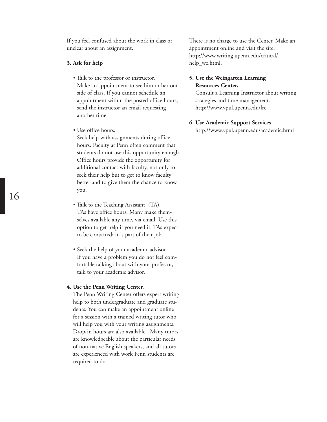If you feel confused about the work in class or unclear about an assignment,

#### **3. Ask for help**

- Talk to the professor or instructor. Make an appointment to see him or her outside of class. If you cannot schedule an appointment within the posted office hours, send the instructor an email requesting another time.
- Use office hours. Seek help with assignments during office hours. Faculty at Penn often comment that students do not use this opportunity enough. Office hours provide the opportunity for additional contact with faculty, not only to seek their help but to get to know faculty better and to give them the chance to know you.
- Talk to the Teaching Assistant (TA). TAs have office hours. Many make themselves available any time, via email. Use this option to get help if you need it. TAs expect to be contacted; it is part of their job.
- Seek the help of your academic advisor. If you have a problem you do not feel comfortable talking about with your professor, talk to your academic advisor.

#### **4. Use the Penn Writing Center.**

The Penn Writing Center offers expert writing help to both undergraduate and graduate students. You can make an appointment online for a session with a trained writing tutor who will help you with your writing assignments. Drop-in hours are also available. Many tutors are knowledgeable about the particular needs of non-native English speakers, and all tutors are experienced with work Penn students are required to do.

There is no charge to use the Center. Make an appointment online and visit the site: [http://www.writing.upenn.edu/critical/](http://www.writing.upenn.edu/critical/ help_wc.html. ) help\_wc.html.

## **5. Use the Weingarten Learning Resources Center.**

Consult a Learning Instructor about writing strategies and time management. [http://www.vpul.upenn.edu/lrc](http://www.vpul.upenn.edu/lrc )

#### **6. Use Academic Support Services**

[http://www.vpul.upenn.edu/academic.html](http://www.vpul.upenn.edu/academic.html )